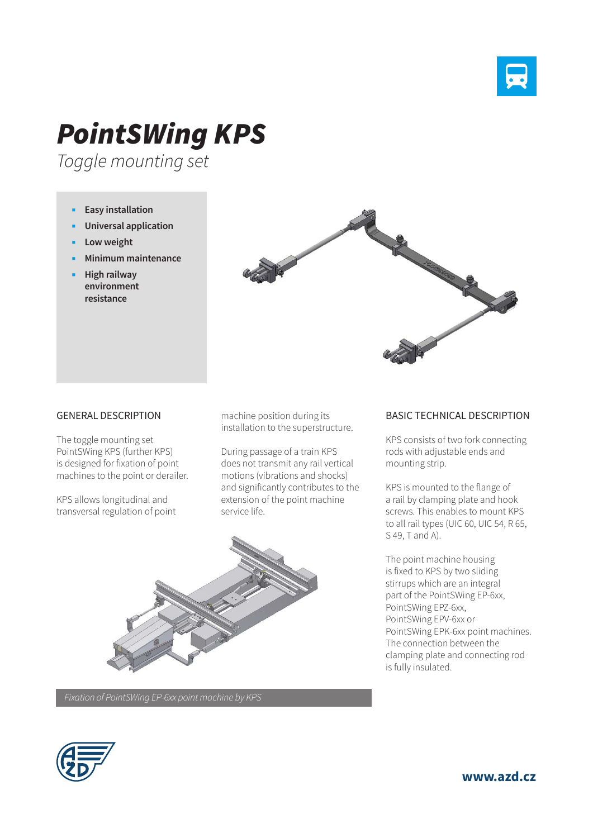

# *PointSWing KPS*

*Toggle mounting set*

- **Easy installation**
- **Universal application**
- **Low weight**
- **Minimum maintenance**
- **High railway environment resistance**



### GENERAL DESCRIPTION

The toggle mounting set PointSWing KPS (further KPS) is designed for fixation of point machines to the point or derailer.

KPS allows longitudinal and transversal regulation of point machine position during its installation to the superstructure.

During passage of a train KPS does not transmit any rail vertical motions (vibrations and shocks) and significantly contributes to the extension of the point machine service life.



## *Fixation of PointSWing EP-6xx point machine by KPS*

### BASIC TECHNICAL DESCRIPTION

KPS consists of two fork connecting rods with adjustable ends and mounting strip.

KPS is mounted to the flange of a rail by clamping plate and hook screws. This enables to mount KPS to all rail types (UIC 60, UIC 54, R 65, S 49, T and A).

The point machine housing is fixed to KPS by two sliding stirrups which are an integral part of the PointSWing EP-6xx, PointSWing EPZ-6xx, PointSWing EPV-6xx or PointSWing EPK-6xx point machines. The connection between the clamping plate and connecting rod is fully insulated.

**www.azd.cz**